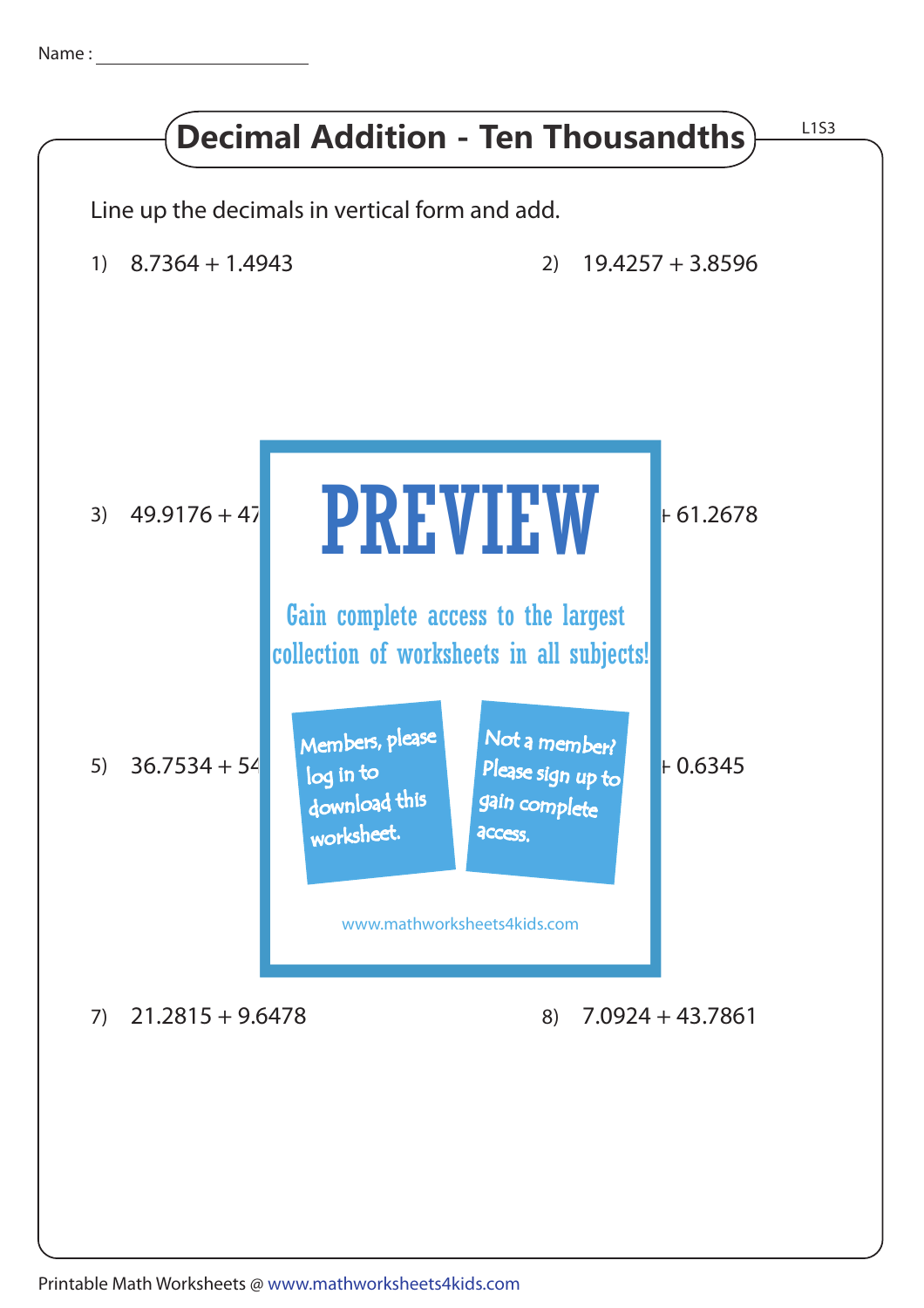